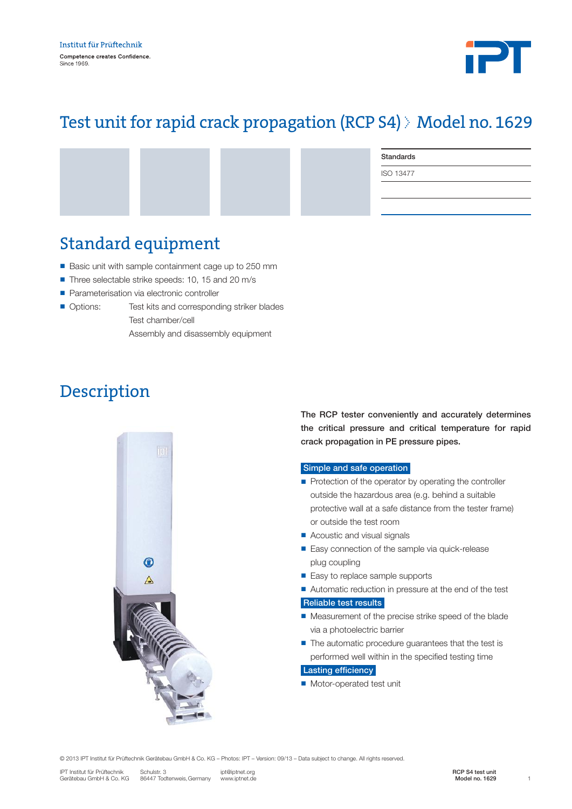

# Test unit for rapid crack propagation (RCP S4) Model no. 1629

Standards

ISO 13477

### Standard equipment

- Basic unit with sample containment cage up to 250 mm
- Three selectable strike speeds: 10, 15 and 20 m/s
- **n** Parameterisation via electronic controller
- Options: Test kits and corresponding striker blades

 Test chamber/cell Assembly and disassembly equipment

# Description



The RCP tester conveniently and accurately determines the critical pressure and critical temperature for rapid crack propagation in PE pressure pipes.

#### Simple and safe operation

- $\blacksquare$  Protection of the operator by operating the controller outside the hazardous area (e.g. behind a suitable protective wall at a safe distance from the tester frame) or outside the test room
- Acoustic and visual signals
- Easy connection of the sample via quick-release plug coupling
- Easy to replace sample supports
- Automatic reduction in pressure at the end of the test

Reliable test results

- $\blacksquare$  Measurement of the precise strike speed of the blade via a photoelectric barrier
- $\blacksquare$  The automatic procedure guarantees that the test is performed well within in the specified testing time

#### Lasting efficiency

■ Motor-operated test unit

© 2013 IPT Institut für Prüftechnik Gerätebau GmbH & Co. KG – Photos: IPT – Version: 09/13 – Data subject to change. All rights reserved.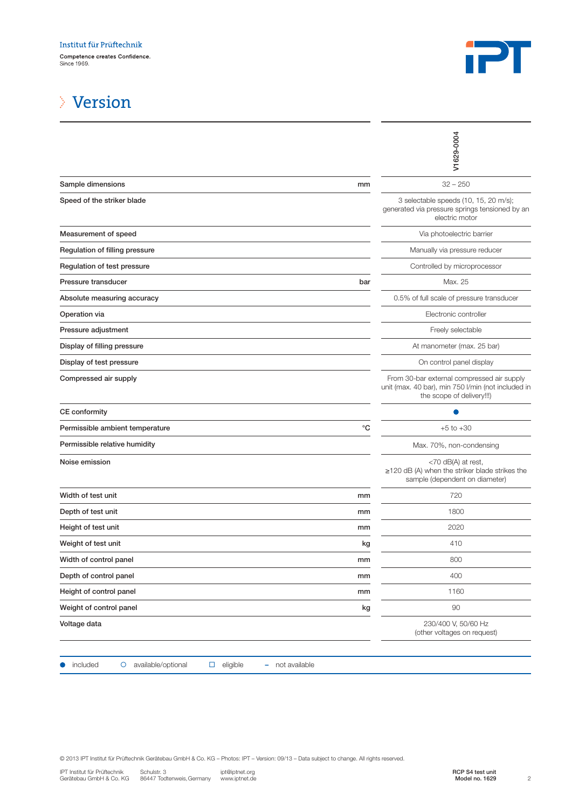

### Version

|                                                                                                                                                                                                                                                                                     | V1629-0004                                                                                                                    |
|-------------------------------------------------------------------------------------------------------------------------------------------------------------------------------------------------------------------------------------------------------------------------------------|-------------------------------------------------------------------------------------------------------------------------------|
| Sample dimensions<br>mm                                                                                                                                                                                                                                                             | $32 - 250$                                                                                                                    |
| Speed of the striker blade                                                                                                                                                                                                                                                          | 3 selectable speeds (10, 15, 20 m/s);<br>generated via pressure springs tensioned by an<br>electric motor                     |
| Measurement of speed                                                                                                                                                                                                                                                                | Via photoelectric barrier                                                                                                     |
| Regulation of filling pressure                                                                                                                                                                                                                                                      | Manually via pressure reducer                                                                                                 |
| Regulation of test pressure                                                                                                                                                                                                                                                         | Controlled by microprocessor                                                                                                  |
| Pressure transducer<br>bar                                                                                                                                                                                                                                                          | Max. 25                                                                                                                       |
| Absolute measuring accuracy                                                                                                                                                                                                                                                         | 0.5% of full scale of pressure transducer                                                                                     |
| Operation via                                                                                                                                                                                                                                                                       | Electronic controller                                                                                                         |
| Pressure adjustment                                                                                                                                                                                                                                                                 | Freely selectable                                                                                                             |
| Display of filling pressure                                                                                                                                                                                                                                                         | At manometer (max. 25 bar)                                                                                                    |
| Display of test pressure                                                                                                                                                                                                                                                            | On control panel display                                                                                                      |
| Compressed air supply                                                                                                                                                                                                                                                               | From 30-bar external compressed air supply<br>unit (max. 40 bar), min 750 l/min (not included in<br>the scope of delivery!!!) |
| CE conformity                                                                                                                                                                                                                                                                       |                                                                                                                               |
| °C<br>Permissible ambient temperature                                                                                                                                                                                                                                               | $+5$ to $+30$                                                                                                                 |
| Permissible relative humidity                                                                                                                                                                                                                                                       | Max. 70%, non-condensing                                                                                                      |
| Noise emission                                                                                                                                                                                                                                                                      | <70 dB(A) at rest,<br>$\geq$ 120 dB (A) when the striker blade strikes the<br>sample (dependent on diameter)                  |
| Width of test unit<br>mm                                                                                                                                                                                                                                                            | 720                                                                                                                           |
| Depth of test unit<br>mm                                                                                                                                                                                                                                                            | 1800                                                                                                                          |
| Height of test unit<br>mm                                                                                                                                                                                                                                                           | 2020                                                                                                                          |
| Weight of test unit<br>kg                                                                                                                                                                                                                                                           | 410                                                                                                                           |
| Width of control panel<br>mm                                                                                                                                                                                                                                                        | 800                                                                                                                           |
| Depth of control panel<br>mm                                                                                                                                                                                                                                                        | 400                                                                                                                           |
| Height of control panel<br>mm                                                                                                                                                                                                                                                       | 1160                                                                                                                          |
| Weight of control panel<br>kg                                                                                                                                                                                                                                                       | 90                                                                                                                            |
| Voltage data                                                                                                                                                                                                                                                                        | 230/400 V, 50/60 Hz<br>(other voltages on request)                                                                            |
| included<br>available/optional<br>eligible<br>- not available<br>$\circ$<br>$\Box$                                                                                                                                                                                                  |                                                                                                                               |
| © 2013 IPT Institut für Prüftechnik Gerätebau GmbH & Co. KG - Photos: IPT - Version: 09/13 - Data subject to change. All rights reserved.<br>Schulstr. 3<br>IPT Institut für Prüftechnik<br>ipt@iptnet.org<br>Gerätebau GmbH & Co. KG<br>86447 Todtenweis, Germany<br>www.iptnet.de | RCP S4 test unit<br>$\overline{c}$<br>Model no. 1629                                                                          |